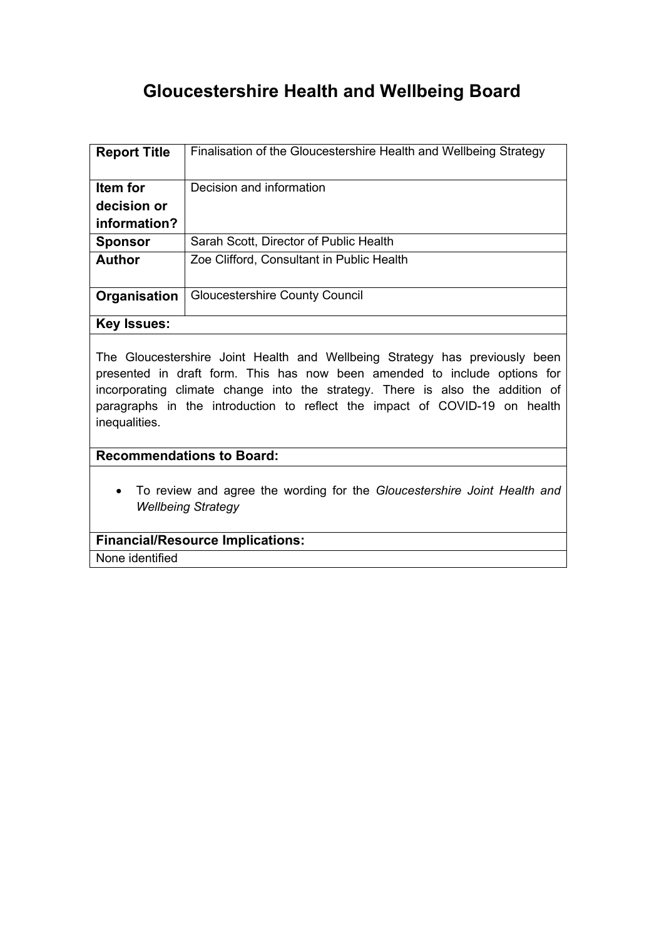# **Gloucestershire Health and Wellbeing Board**

| <b>Report Title</b> | Finalisation of the Gloucestershire Health and Wellbeing Strategy |
|---------------------|-------------------------------------------------------------------|
| Item for            | Decision and information                                          |
| decision or         |                                                                   |
| information?        |                                                                   |
| <b>Sponsor</b>      | Sarah Scott, Director of Public Health                            |
| <b>Author</b>       | Zoe Clifford, Consultant in Public Health                         |
| Organisation        | <b>Gloucestershire County Council</b>                             |
| <b>Key Issues:</b>  |                                                                   |

The Gloucestershire Joint Health and Wellbeing Strategy has previously been presented in draft form. This has now been amended to include options for incorporating climate change into the strategy. There is also the addition of paragraphs in the introduction to reflect the impact of COVID-19 on health inequalities.

## **Recommendations to Board:**

 To review and agree the wording for the *Gloucestershire Joint Health and Wellbeing Strategy*

#### **Financial/Resource Implications:**

None identified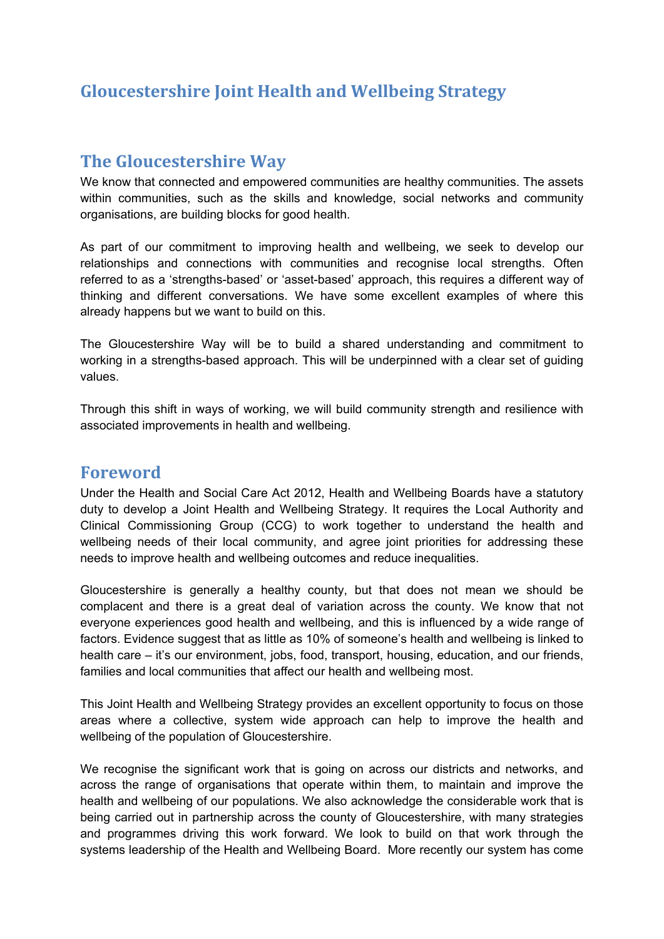# **Gloucestershire Joint Health and Wellbeing Strategy**

# **The Gloucestershire Way**

We know that connected and empowered communities are healthy communities. The assets within communities, such as the skills and knowledge, social networks and community organisations, are building blocks for good health.

As part of our commitment to improving health and wellbeing, we seek to develop our relationships and connections with communities and recognise local strengths. Often referred to as a 'strengths-based' or 'asset-based' approach, this requires a different way of thinking and different conversations. We have some excellent examples of where this already happens but we want to build on this.

The Gloucestershire Way will be to build a shared understanding and commitment to working in a strengths-based approach. This will be underpinned with a clear set of guiding values.

Through this shift in ways of working, we will build community strength and resilience with associated improvements in health and wellbeing.

# **Foreword**

Under the Health and Social Care Act 2012, Health and Wellbeing Boards have a statutory duty to develop a Joint Health and Wellbeing Strategy. It requires the Local Authority and Clinical Commissioning Group (CCG) to work together to understand the health and wellbeing needs of their local community, and agree joint priorities for addressing these needs to improve health and wellbeing outcomes and reduce inequalities.

Gloucestershire is generally a healthy county, but that does not mean we should be complacent and there is a great deal of variation across the county. We know that not everyone experiences good health and wellbeing, and this is influenced by a wide range of factors. Evidence suggest that as little as 10% of someone's health and wellbeing is linked to health care – it's our environment, jobs, food, transport, housing, education, and our friends, families and local communities that affect our health and wellbeing most.

This Joint Health and Wellbeing Strategy provides an excellent opportunity to focus on those areas where a collective, system wide approach can help to improve the health and wellbeing of the population of Gloucestershire.

We recognise the significant work that is going on across our districts and networks, and across the range of organisations that operate within them, to maintain and improve the health and wellbeing of our populations. We also acknowledge the considerable work that is being carried out in partnership across the county of Gloucestershire, with many strategies and programmes driving this work forward. We look to build on that work through the systems leadership of the Health and Wellbeing Board. More recently our system has come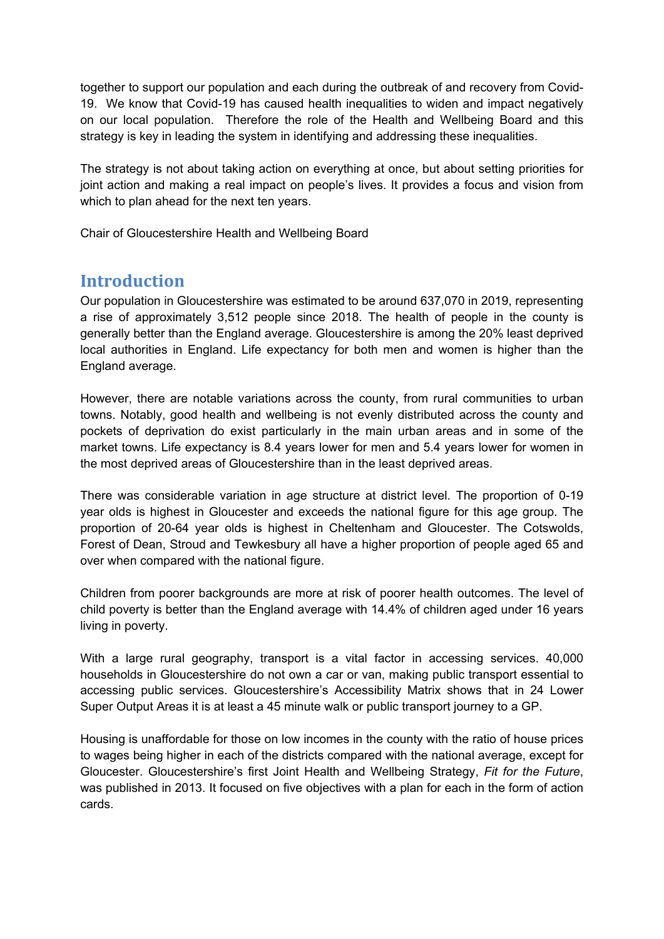together to support our population and each during the outbreak of and recovery from Covid-19. We know that Covid-19 has caused health inequalities to widen and impact negatively on our local population. Therefore the role of the Health and Wellbeing Board and this strategy is key in leading the system in identifying and addressing these inequalities.

The strategy is not about taking action on everything at once, but about setting priorities for joint action and making a real impact on people's lives. It provides a focus and vision from which to plan ahead for the next ten years.

Chair of Gloucestershire Health and Wellbeing Board

# **Introduction**

Our population in Gloucestershire was estimated to be around 637,070 in 2019, representing a rise of approximately 3,512 people since 2018. The health of people in the county is generally better than the England average. Gloucestershire is among the 20% least deprived local authorities in England. Life expectancy for both men and women is higher than the England average.

However, there are notable variations across the county, from rural communities to urban towns. Notably, good health and wellbeing is not evenly distributed across the county and pockets of deprivation do exist particularly in the main urban areas and in some of the market towns. Life expectancy is 8.4 years lower for men and 5.4 years lower for women in the most deprived areas of Gloucestershire than in the least deprived areas.

There was considerable variation in age structure at district level. The proportion of 0-19 year olds is highest in Gloucester and exceeds the national figure for this age group. The proportion of 20-64 year olds is highest in Cheltenham and Gloucester. The Cotswolds, Forest of Dean, Stroud and Tewkesbury all have a higher proportion of people aged 65 and over when compared with the national figure.

Children from poorer backgrounds are more at risk of poorer health outcomes. The level of child poverty is better than the England average with 14.4% of children aged under 16 years living in poverty.

With a large rural geography, transport is a vital factor in accessing services. 40,000 households in Gloucestershire do not own a car or van, making public transport essential to accessing public services. Gloucestershire's Accessibility Matrix shows that in 24 Lower Super Output Areas it is at least a 45 minute walk or public transport journey to a GP.

Housing is unaffordable for those on low incomes in the county with the ratio of house prices to wages being higher in each of the districts compared with the national average, except for Gloucester. Gloucestershire's first Joint Health and Wellbeing Strategy, *Fit for the Future*, was published in 2013. It focused on five objectives with a plan for each in the form of action cards.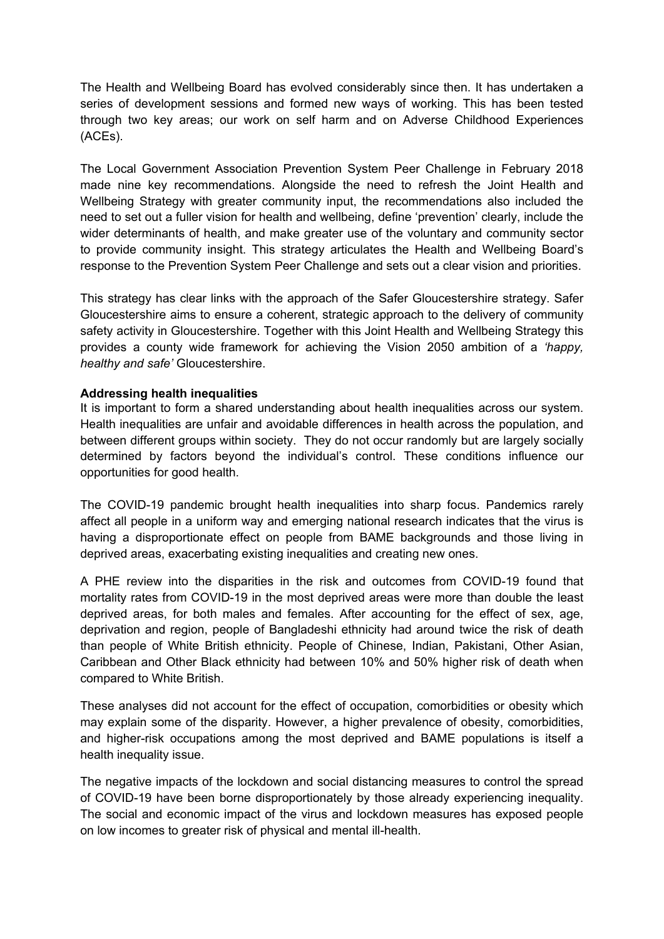The Health and Wellbeing Board has evolved considerably since then. It has undertaken a series of development sessions and formed new ways of working. This has been tested through two key areas; our work on self harm and on Adverse Childhood Experiences (ACEs).

The Local Government Association Prevention System Peer Challenge in February 2018 made nine key recommendations. Alongside the need to refresh the Joint Health and Wellbeing Strategy with greater community input, the recommendations also included the need to set out a fuller vision for health and wellbeing, define 'prevention' clearly, include the wider determinants of health, and make greater use of the voluntary and community sector to provide community insight. This strategy articulates the Health and Wellbeing Board's response to the Prevention System Peer Challenge and sets out a clear vision and priorities.

This strategy has clear links with the approach of the Safer Gloucestershire strategy. Safer Gloucestershire aims to ensure a coherent, strategic approach to the delivery of community safety activity in Gloucestershire. Together with this Joint Health and Wellbeing Strategy this provides a county wide framework for achieving the Vision 2050 ambition of a *'happy, healthy and safe'* Gloucestershire.

#### **Addressing health inequalities**

It is important to form a shared understanding about health inequalities across our system. Health inequalities are unfair and avoidable differences in health across the population, and between different groups within society. They do not occur randomly but are largely socially determined by factors beyond the individual's control. These conditions influence our opportunities for good health.

The COVID-19 pandemic brought health inequalities into sharp focus. Pandemics rarely affect all people in a uniform way and emerging national research indicates that the virus is having a disproportionate effect on people from BAME backgrounds and those living in deprived areas, exacerbating existing inequalities and creating new ones.

A PHE review into the disparities in the risk and outcomes from COVID-19 found that mortality rates from COVID-19 in the most deprived areas were more than double the least deprived areas, for both males and females. After accounting for the effect of sex, age, deprivation and region, people of Bangladeshi ethnicity had around twice the risk of death than people of White British ethnicity. People of Chinese, Indian, Pakistani, Other Asian, Caribbean and Other Black ethnicity had between 10% and 50% higher risk of death when compared to White British.

These analyses did not account for the effect of occupation, comorbidities or obesity which may explain some of the disparity. However, a higher prevalence of obesity, comorbidities, and higher-risk occupations among the most deprived and BAME populations is itself a health inequality issue.

The negative impacts of the lockdown and social distancing measures to control the spread of COVID-19 have been borne disproportionately by those already experiencing inequality. The social and economic impact of the virus and lockdown measures has exposed people on low incomes to greater risk of physical and mental ill-health.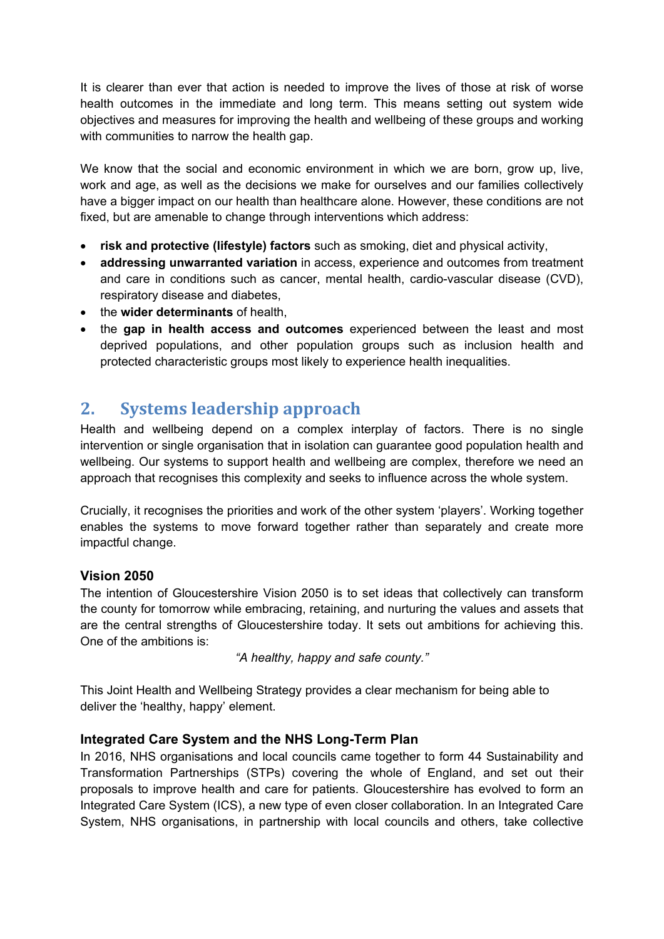It is clearer than ever that action is needed to improve the lives of those at risk of worse health outcomes in the immediate and long term. This means setting out system wide objectives and measures for improving the health and wellbeing of these groups and working with communities to narrow the health gap.

We know that the social and economic environment in which we are born, grow up, live, work and age, as well as the decisions we make for ourselves and our families collectively have a bigger impact on our health than healthcare alone. However, these conditions are not fixed, but are amenable to change through interventions which address:

- **risk and protective (lifestyle) factors** such as smoking, diet and physical activity,
- **addressing unwarranted variation** in access, experience and outcomes from treatment and care in conditions such as cancer, mental health, cardio-vascular disease (CVD), respiratory disease and diabetes,
- the **wider determinants** of health,
- the **gap in health access and outcomes** experienced between the least and most deprived populations, and other population groups such as inclusion health and protected characteristic groups most likely to experience health inequalities.

# **2. Systems leadership approach**

Health and wellbeing depend on a complex interplay of factors. There is no single intervention or single organisation that in isolation can guarantee good population health and wellbeing. Our systems to support health and wellbeing are complex, therefore we need an approach that recognises this complexity and seeks to influence across the whole system.

Crucially, it recognises the priorities and work of the other system 'players'. Working together enables the systems to move forward together rather than separately and create more impactful change.

# **Vision 2050**

The intention of Gloucestershire Vision 2050 is to set ideas that collectively can transform the county for tomorrow while embracing, retaining, and nurturing the values and assets that are the central strengths of Gloucestershire today. It sets out ambitions for achieving this. One of the ambitions is:

*"A healthy, happy and safe county."*

This Joint Health and Wellbeing Strategy provides a clear mechanism for being able to deliver the 'healthy, happy' element.

## **Integrated Care System and the NHS Long-Term Plan**

In 2016, NHS organisations and local councils came together to form 44 Sustainability and Transformation Partnerships (STPs) covering the whole of England, and set out their proposals to improve health and care for patients. Gloucestershire has evolved to form an Integrated Care System (ICS), a new type of even closer collaboration. In an Integrated Care System, NHS organisations, in partnership with local councils and others, take collective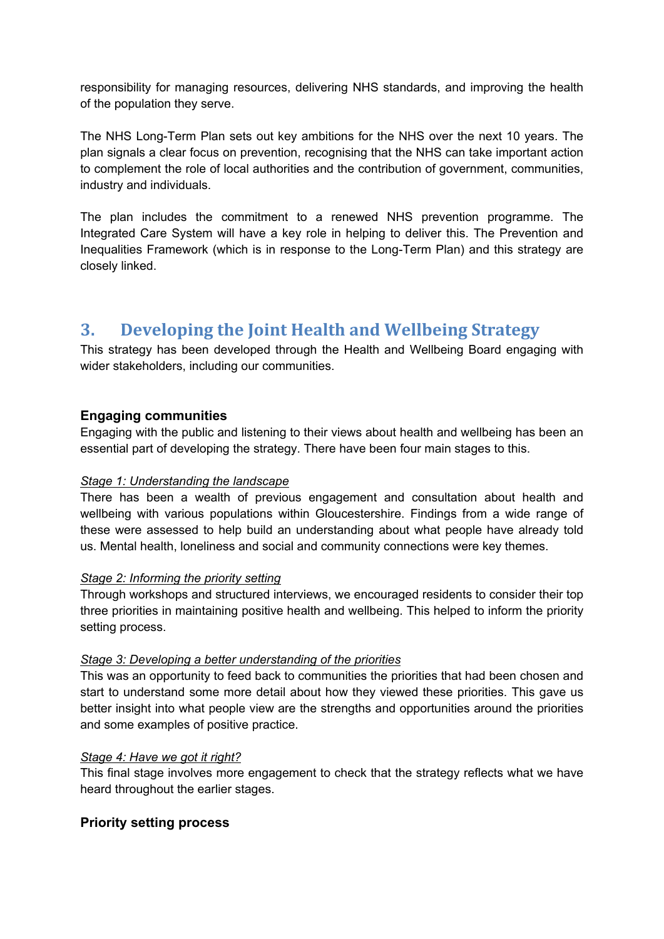responsibility for managing resources, delivering NHS standards, and improving the health of the population they serve.

The NHS Long-Term Plan sets out key ambitions for the NHS over the next 10 years. The plan signals a clear focus on prevention, recognising that the NHS can take important action to complement the role of local authorities and the contribution of government, communities, industry and individuals.

The plan includes the commitment to a renewed NHS prevention programme. The Integrated Care System will have a key role in helping to deliver this. The Prevention and Inequalities Framework (which is in response to the Long-Term Plan) and this strategy are closely linked.

# **3. Developing the Joint Health and Wellbeing Strategy**

This strategy has been developed through the Health and Wellbeing Board engaging with wider stakeholders, including our communities.

#### **Engaging communities**

Engaging with the public and listening to their views about health and wellbeing has been an essential part of developing the strategy. There have been four main stages to this.

#### *Stage 1: Understanding the landscape*

There has been a wealth of previous engagement and consultation about health and wellbeing with various populations within Gloucestershire. Findings from a wide range of these were assessed to help build an understanding about what people have already told us. Mental health, loneliness and social and community connections were key themes.

#### *Stage 2: Informing the priority setting*

Through workshops and structured interviews, we encouraged residents to consider their top three priorities in maintaining positive health and wellbeing. This helped to inform the priority setting process.

#### *Stage 3: Developing a better understanding of the priorities*

This was an opportunity to feed back to communities the priorities that had been chosen and start to understand some more detail about how they viewed these priorities. This gave us better insight into what people view are the strengths and opportunities around the priorities and some examples of positive practice.

#### *Stage 4: Have we got it right?*

This final stage involves more engagement to check that the strategy reflects what we have heard throughout the earlier stages.

#### **Priority setting process**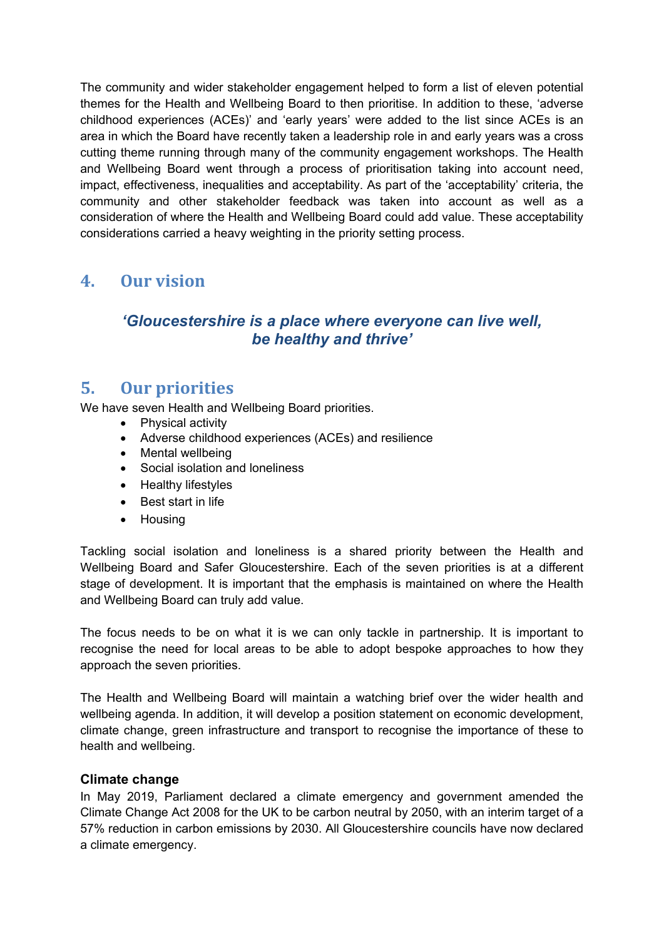The community and wider stakeholder engagement helped to form a list of eleven potential themes for the Health and Wellbeing Board to then prioritise. In addition to these, 'adverse childhood experiences (ACEs)' and 'early years' were added to the list since ACEs is an area in which the Board have recently taken a leadership role in and early years was a cross cutting theme running through many of the community engagement workshops. The Health and Wellbeing Board went through a process of prioritisation taking into account need, impact, effectiveness, inequalities and acceptability. As part of the 'acceptability' criteria, the community and other stakeholder feedback was taken into account as well as a consideration of where the Health and Wellbeing Board could add value. These acceptability considerations carried a heavy weighting in the priority setting process.

# **4. Our vision**

# *'Gloucestershire is a place where everyone can live well, be healthy and thrive'*

# **5. Our priorities**

We have seven Health and Wellbeing Board priorities.

- Physical activity
- Adverse childhood experiences (ACEs) and resilience
- Mental wellbeing
- Social isolation and loneliness
- Healthy lifestyles
- Best start in life
- Housing

Tackling social isolation and loneliness is a shared priority between the Health and Wellbeing Board and Safer Gloucestershire. Each of the seven priorities is at a different stage of development. It is important that the emphasis is maintained on where the Health and Wellbeing Board can truly add value.

The focus needs to be on what it is we can only tackle in partnership. It is important to recognise the need for local areas to be able to adopt bespoke approaches to how they approach the seven priorities.

The Health and Wellbeing Board will maintain a watching brief over the wider health and wellbeing agenda. In addition, it will develop a position statement on economic development, climate change, green infrastructure and transport to recognise the importance of these to health and wellbeing.

## **Climate change**

In May 2019, Parliament declared a climate emergency and government amended the Climate Change Act 2008 for the UK to be carbon neutral by 2050, with an interim target of a 57% reduction in carbon emissions by 2030. All Gloucestershire councils have now declared a climate emergency.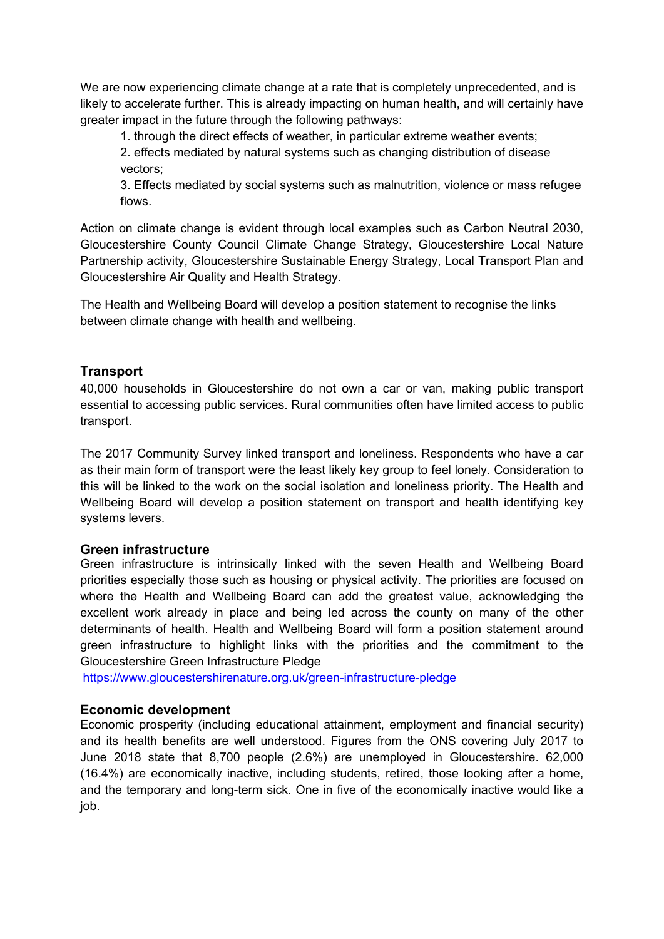We are now experiencing climate change at a rate that is completely unprecedented, and is likely to accelerate further. This is already impacting on human health, and will certainly have greater impact in the future through the following pathways:

1. through the direct effects of weather, in particular extreme weather events;

2. effects mediated by natural systems such as changing distribution of disease vectors;

3. Effects mediated by social systems such as malnutrition, violence or mass refugee flows.

Action on climate change is evident through local examples such as Carbon Neutral 2030, Gloucestershire County Council Climate Change Strategy, Gloucestershire Local Nature Partnership activity, Gloucestershire Sustainable Energy Strategy, Local Transport Plan and Gloucestershire Air Quality and Health Strategy.

The Health and Wellbeing Board will develop a position statement to recognise the links between climate change with health and wellbeing.

## **Transport**

40,000 households in Gloucestershire do not own a car or van, making public transport essential to accessing public services. Rural communities often have limited access to public transport.

The 2017 Community Survey linked transport and loneliness. Respondents who have a car as their main form of transport were the least likely key group to feel lonely. Consideration to this will be linked to the work on the social isolation and loneliness priority. The Health and Wellbeing Board will develop a position statement on transport and health identifying key systems levers.

## **Green infrastructure**

Green infrastructure is intrinsically linked with the seven Health and Wellbeing Board priorities especially those such as housing or physical activity. The priorities are focused on where the Health and Wellbeing Board can add the greatest value, acknowledging the excellent work already in place and being led across the county on many of the other determinants of health. Health and Wellbeing Board will form a position statement around green infrastructure to highlight links with the priorities and the commitment to the Gloucestershire Green Infrastructure Pledge

<https://www.gloucestershirenature.org.uk/green-infrastructure-pledge>

## **Economic development**

Economic prosperity (including educational attainment, employment and financial security) and its health benefits are well understood. Figures from the ONS covering July 2017 to June 2018 state that 8,700 people (2.6%) are unemployed in Gloucestershire. 62,000 (16.4%) are economically inactive, including students, retired, those looking after a home, and the temporary and long-term sick. One in five of the economically inactive would like a job.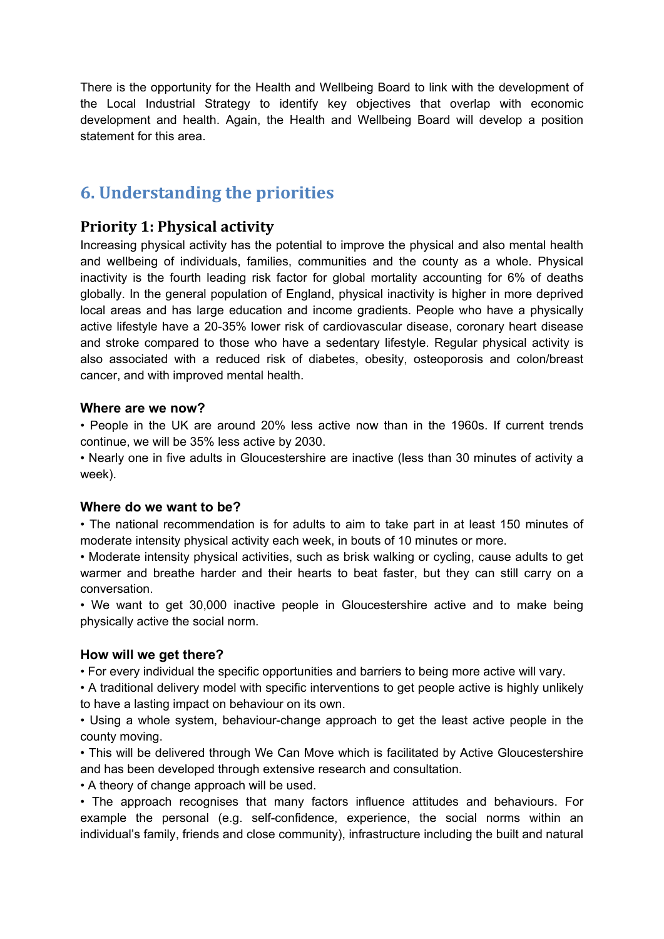There is the opportunity for the Health and Wellbeing Board to link with the development of the Local Industrial Strategy to identify key objectives that overlap with economic development and health. Again, the Health and Wellbeing Board will develop a position statement for this area.

# **6. Understanding the priorities**

# **Priority 1: Physical activity**

Increasing physical activity has the potential to improve the physical and also mental health and wellbeing of individuals, families, communities and the county as a whole. Physical inactivity is the fourth leading risk factor for global mortality accounting for 6% of deaths globally. In the general population of England, physical inactivity is higher in more deprived local areas and has large education and income gradients. People who have a physically active lifestyle have a 20-35% lower risk of cardiovascular disease, coronary heart disease and stroke compared to those who have a sedentary lifestyle. Regular physical activity is also associated with a reduced risk of diabetes, obesity, osteoporosis and colon/breast cancer, and with improved mental health.

#### **Where are we now?**

• People in the UK are around 20% less active now than in the 1960s. If current trends continue, we will be 35% less active by 2030.

• Nearly one in five adults in Gloucestershire are inactive (less than 30 minutes of activity a week).

#### **Where do we want to be?**

• The national recommendation is for adults to aim to take part in at least 150 minutes of moderate intensity physical activity each week, in bouts of 10 minutes or more.

• Moderate intensity physical activities, such as brisk walking or cycling, cause adults to get warmer and breathe harder and their hearts to beat faster, but they can still carry on a conversation.

• We want to get 30,000 inactive people in Gloucestershire active and to make being physically active the social norm.

## **How will we get there?**

• For every individual the specific opportunities and barriers to being more active will vary.

• A traditional delivery model with specific interventions to get people active is highly unlikely to have a lasting impact on behaviour on its own.

• Using a whole system, behaviour-change approach to get the least active people in the county moving.

• This will be delivered through We Can Move which is facilitated by Active Gloucestershire and has been developed through extensive research and consultation.

• A theory of change approach will be used.

• The approach recognises that many factors influence attitudes and behaviours. For example the personal (e.g. self-confidence, experience, the social norms within an individual's family, friends and close community), infrastructure including the built and natural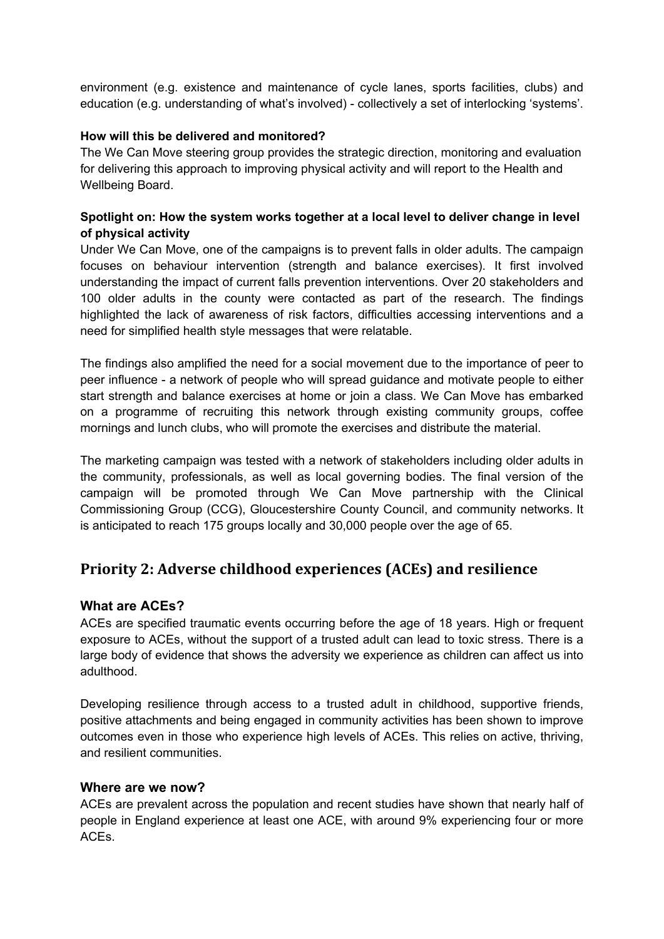environment (e.g. existence and maintenance of cycle lanes, sports facilities, clubs) and education (e.g. understanding of what's involved) - collectively a set of interlocking 'systems'.

#### **How will this be delivered and monitored?**

The We Can Move steering group provides the strategic direction, monitoring and evaluation for delivering this approach to improving physical activity and will report to the Health and Wellbeing Board.

#### **Spotlight on: How the system works together at a local level to deliver change in level of physical activity**

Under We Can Move, one of the campaigns is to prevent falls in older adults. The campaign focuses on behaviour intervention (strength and balance exercises). It first involved understanding the impact of current falls prevention interventions. Over 20 stakeholders and 100 older adults in the county were contacted as part of the research. The findings highlighted the lack of awareness of risk factors, difficulties accessing interventions and a need for simplified health style messages that were relatable.

The findings also amplified the need for a social movement due to the importance of peer to peer influence - a network of people who will spread guidance and motivate people to either start strength and balance exercises at home or join a class. We Can Move has embarked on a programme of recruiting this network through existing community groups, coffee mornings and lunch clubs, who will promote the exercises and distribute the material.

The marketing campaign was tested with a network of stakeholders including older adults in the community, professionals, as well as local governing bodies. The final version of the campaign will be promoted through We Can Move partnership with the Clinical Commissioning Group (CCG), Gloucestershire County Council, and community networks. It is anticipated to reach 175 groups locally and 30,000 people over the age of 65.

# **Priority 2: Adverse childhood experiences (ACEs) and resilience**

## **What are ACEs?**

ACEs are specified traumatic events occurring before the age of 18 years. High or frequent exposure to ACEs, without the support of a trusted adult can lead to toxic stress. There is a large body of evidence that shows the adversity we experience as children can affect us into adulthood.

Developing resilience through access to a trusted adult in childhood, supportive friends, positive attachments and being engaged in community activities has been shown to improve outcomes even in those who experience high levels of ACEs. This relies on active, thriving, and resilient communities.

#### **Where are we now?**

ACEs are prevalent across the population and recent studies have shown that nearly half of people in England experience at least one ACE, with around 9% experiencing four or more ACEs.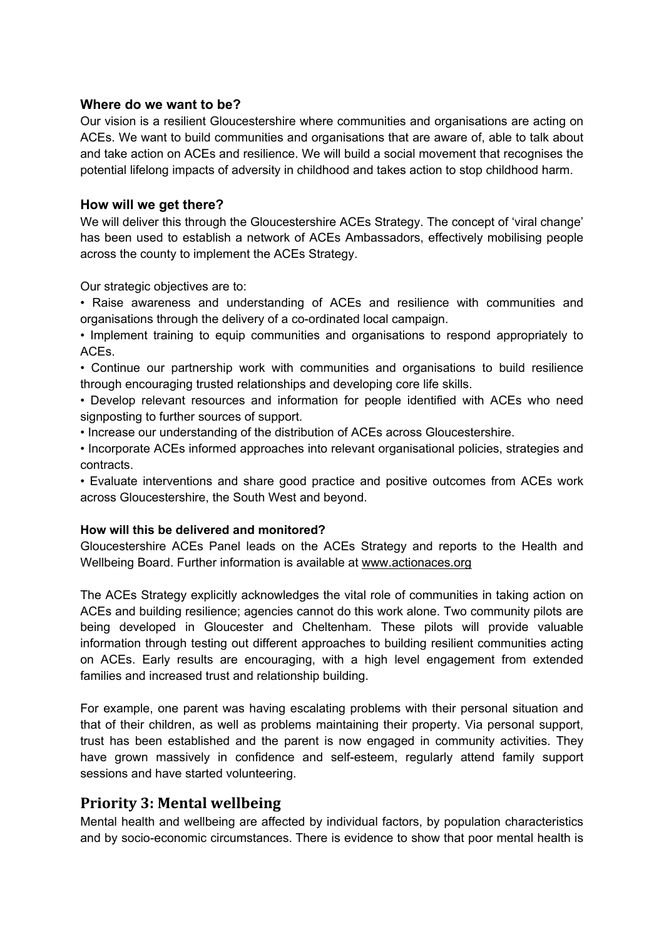#### **Where do we want to be?**

Our vision is a resilient Gloucestershire where communities and organisations are acting on ACEs. We want to build communities and organisations that are aware of, able to talk about and take action on ACEs and resilience. We will build a social movement that recognises the potential lifelong impacts of adversity in childhood and takes action to stop childhood harm.

## **How will we get there?**

We will deliver this through the Gloucestershire ACEs Strategy. The concept of 'viral change' has been used to establish a network of ACEs Ambassadors, effectively mobilising people across the county to implement the ACEs Strategy.

Our strategic objectives are to:

- Raise awareness and understanding of ACEs and resilience with communities and organisations through the delivery of a co-ordinated local campaign.
- Implement training to equip communities and organisations to respond appropriately to ACEs.
- Continue our partnership work with communities and organisations to build resilience through encouraging trusted relationships and developing core life skills.
- Develop relevant resources and information for people identified with ACEs who need signposting to further sources of support.
- Increase our understanding of the distribution of ACEs across Gloucestershire.
- Incorporate ACEs informed approaches into relevant organisational policies, strategies and contracts.
- Evaluate interventions and share good practice and positive outcomes from ACEs work across Gloucestershire, the South West and beyond.

#### **How will this be delivered and monitored?**

Gloucestershire ACEs Panel leads on the ACEs Strategy and reports to the Health and Wellbeing Board. Further information is available at [www.actionaces.org](http://www.actionaces.org/)

The ACEs Strategy explicitly acknowledges the vital role of communities in taking action on ACEs and building resilience; agencies cannot do this work alone. Two community pilots are being developed in Gloucester and Cheltenham. These pilots will provide valuable information through testing out different approaches to building resilient communities acting on ACEs. Early results are encouraging, with a high level engagement from extended families and increased trust and relationship building.

For example, one parent was having escalating problems with their personal situation and that of their children, as well as problems maintaining their property. Via personal support, trust has been established and the parent is now engaged in community activities. They have grown massively in confidence and self-esteem, regularly attend family support sessions and have started volunteering.

# **Priority 3: Mental wellbeing**

Mental health and wellbeing are affected by individual factors, by population characteristics and by socio-economic circumstances. There is evidence to show that poor mental health is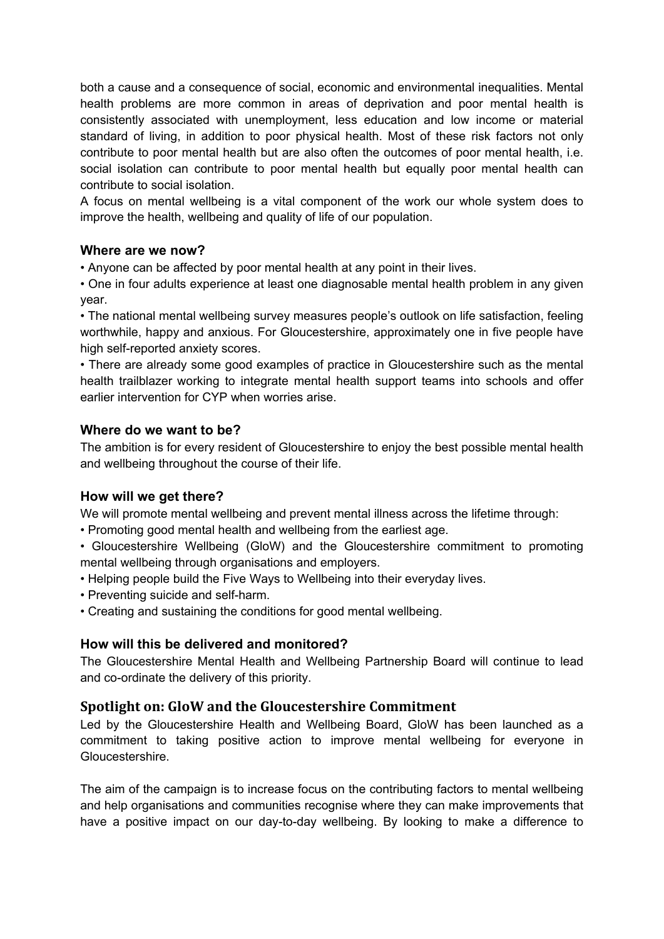both a cause and a consequence of social, economic and environmental inequalities. Mental health problems are more common in areas of deprivation and poor mental health is consistently associated with unemployment, less education and low income or material standard of living, in addition to poor physical health. Most of these risk factors not only contribute to poor mental health but are also often the outcomes of poor mental health, i.e. social isolation can contribute to poor mental health but equally poor mental health can contribute to social isolation.

A focus on mental wellbeing is a vital component of the work our whole system does to improve the health, wellbeing and quality of life of our population.

#### **Where are we now?**

• Anyone can be affected by poor mental health at any point in their lives.

• One in four adults experience at least one diagnosable mental health problem in any given year.

• The national mental wellbeing survey measures people's outlook on life satisfaction, feeling worthwhile, happy and anxious. For Gloucestershire, approximately one in five people have high self-reported anxiety scores.

• There are already some good examples of practice in Gloucestershire such as the mental health trailblazer working to integrate mental health support teams into schools and offer earlier intervention for CYP when worries arise.

#### **Where do we want to be?**

The ambition is for every resident of Gloucestershire to enjoy the best possible mental health and wellbeing throughout the course of their life.

## **How will we get there?**

We will promote mental wellbeing and prevent mental illness across the lifetime through:

- Promoting good mental health and wellbeing from the earliest age.
- Gloucestershire Wellbeing (GloW) and the Gloucestershire commitment to promoting mental wellbeing through organisations and employers.
- Helping people build the Five Ways to Wellbeing into their everyday lives.
- Preventing suicide and self-harm.
- Creating and sustaining the conditions for good mental wellbeing.

## **How will this be delivered and monitored?**

The Gloucestershire Mental Health and Wellbeing Partnership Board will continue to lead and co-ordinate the delivery of this priority.

## **Spotlight on: GloW and the Gloucestershire Commitment**

Led by the Gloucestershire Health and Wellbeing Board, GloW has been launched as a commitment to taking positive action to improve mental wellbeing for everyone in Gloucestershire.

The aim of the campaign is to increase focus on the contributing factors to mental wellbeing and help organisations and communities recognise where they can make improvements that have a positive impact on our day-to-day wellbeing. By looking to make a difference to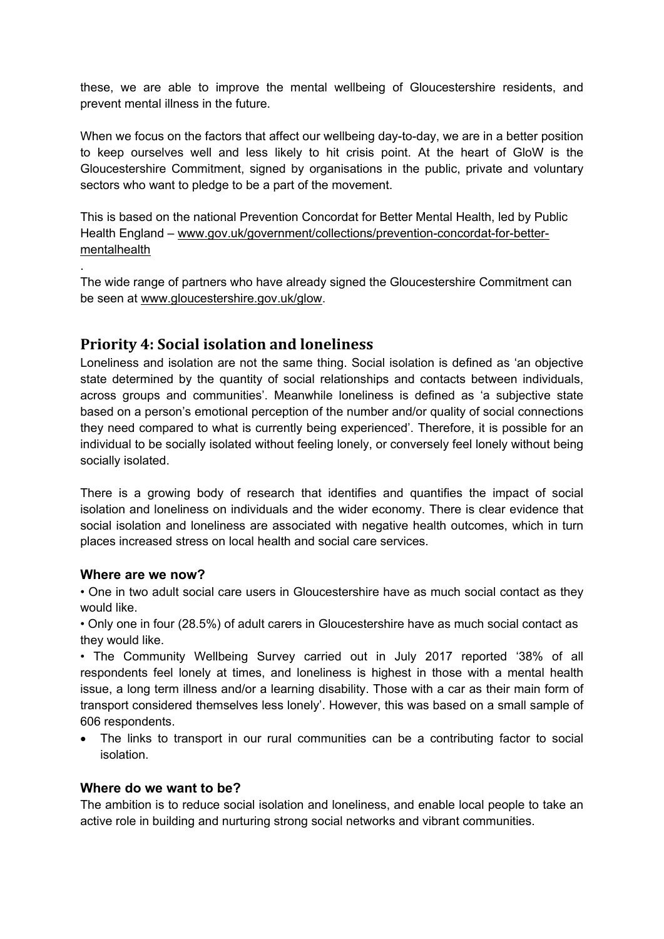these, we are able to improve the mental wellbeing of Gloucestershire residents, and prevent mental illness in the future.

When we focus on the factors that affect our wellbeing day-to-day, we are in a better position to keep ourselves well and less likely to hit crisis point. At the heart of GloW is the Gloucestershire Commitment, signed by organisations in the public, private and voluntary sectors who want to pledge to be a part of the movement.

This is based on the national Prevention Concordat for Better Mental Health, led by Public Health England – [www.gov.uk/government/collections/prevention-concordat-for-better](http://www.gov.uk/government/collections/prevention-concordat-for-better-mentalhealth)[mentalhealth](http://www.gov.uk/government/collections/prevention-concordat-for-better-mentalhealth)

The wide range of partners who have already signed the Gloucestershire Commitment can be seen at [www.gloucestershire.gov.uk/glow.](http://www.gloucestershire.gov.uk/glow)

# **Priority 4: Social isolation and loneliness**

Loneliness and isolation are not the same thing. Social isolation is defined as 'an objective state determined by the quantity of social relationships and contacts between individuals, across groups and communities'. Meanwhile loneliness is defined as 'a subjective state based on a person's emotional perception of the number and/or quality of social connections they need compared to what is currently being experienced'. Therefore, it is possible for an individual to be socially isolated without feeling lonely, or conversely feel lonely without being socially isolated.

There is a growing body of research that identifies and quantifies the impact of social isolation and loneliness on individuals and the wider economy. There is clear evidence that social isolation and loneliness are associated with negative health outcomes, which in turn places increased stress on local health and social care services.

## **Where are we now?**

.

• One in two adult social care users in Gloucestershire have as much social contact as they would like.

• Only one in four (28.5%) of adult carers in Gloucestershire have as much social contact as they would like.

• The Community Wellbeing Survey carried out in July 2017 reported '38% of all respondents feel lonely at times, and loneliness is highest in those with a mental health issue, a long term illness and/or a learning disability. Those with a car as their main form of transport considered themselves less lonely'. However, this was based on a small sample of 606 respondents.

 The links to transport in our rural communities can be a contributing factor to social isolation.

## **Where do we want to be?**

The ambition is to reduce social isolation and loneliness, and enable local people to take an active role in building and nurturing strong social networks and vibrant communities.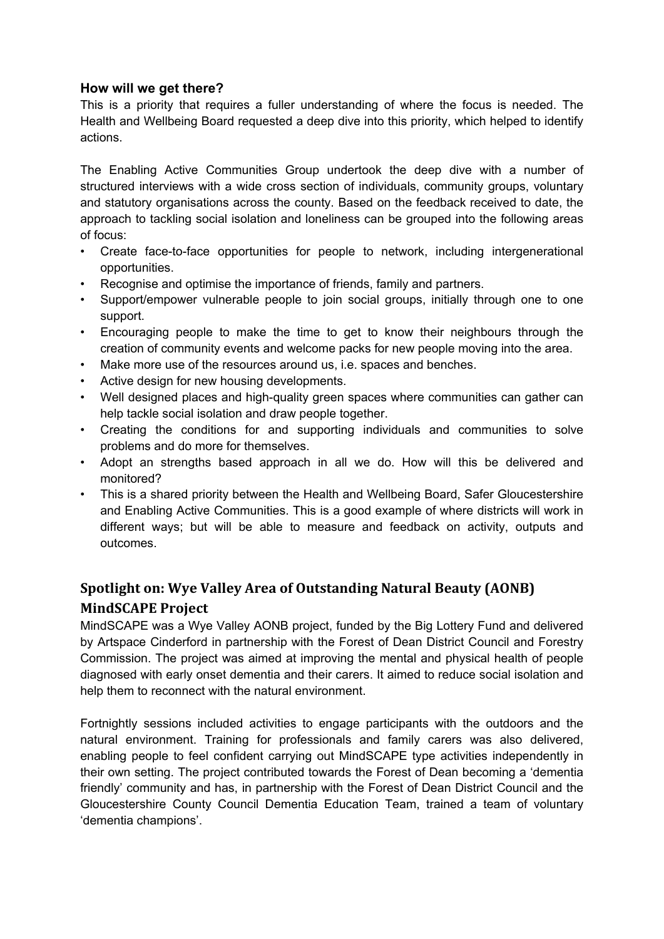## **How will we get there?**

This is a priority that requires a fuller understanding of where the focus is needed. The Health and Wellbeing Board requested a deep dive into this priority, which helped to identify actions.

The Enabling Active Communities Group undertook the deep dive with a number of structured interviews with a wide cross section of individuals, community groups, voluntary and statutory organisations across the county. Based on the feedback received to date, the approach to tackling social isolation and loneliness can be grouped into the following areas of focus:

- Create face-to-face opportunities for people to network, including intergenerational opportunities.
- Recognise and optimise the importance of friends, family and partners.
- Support/empower vulnerable people to join social groups, initially through one to one support.
- Encouraging people to make the time to get to know their neighbours through the creation of community events and welcome packs for new people moving into the area.
- Make more use of the resources around us, i.e. spaces and benches.
- Active design for new housing developments.
- Well designed places and high-quality green spaces where communities can gather can help tackle social isolation and draw people together.
- Creating the conditions for and supporting individuals and communities to solve problems and do more for themselves.
- Adopt an strengths based approach in all we do. How will this be delivered and monitored?
- This is a shared priority between the Health and Wellbeing Board, Safer Gloucestershire and Enabling Active Communities. This is a good example of where districts will work in different ways; but will be able to measure and feedback on activity, outputs and outcomes.

# **Spotlight on: Wye Valley Area of Outstanding Natural Beauty (AONB) MindSCAPE Project**

MindSCAPE was a Wye Valley AONB project, funded by the Big Lottery Fund and delivered by Artspace Cinderford in partnership with the Forest of Dean District Council and Forestry Commission. The project was aimed at improving the mental and physical health of people diagnosed with early onset dementia and their carers. It aimed to reduce social isolation and help them to reconnect with the natural environment.

Fortnightly sessions included activities to engage participants with the outdoors and the natural environment. Training for professionals and family carers was also delivered, enabling people to feel confident carrying out MindSCAPE type activities independently in their own setting. The project contributed towards the Forest of Dean becoming a 'dementia friendly' community and has, in partnership with the Forest of Dean District Council and the Gloucestershire County Council Dementia Education Team, trained a team of voluntary 'dementia champions'.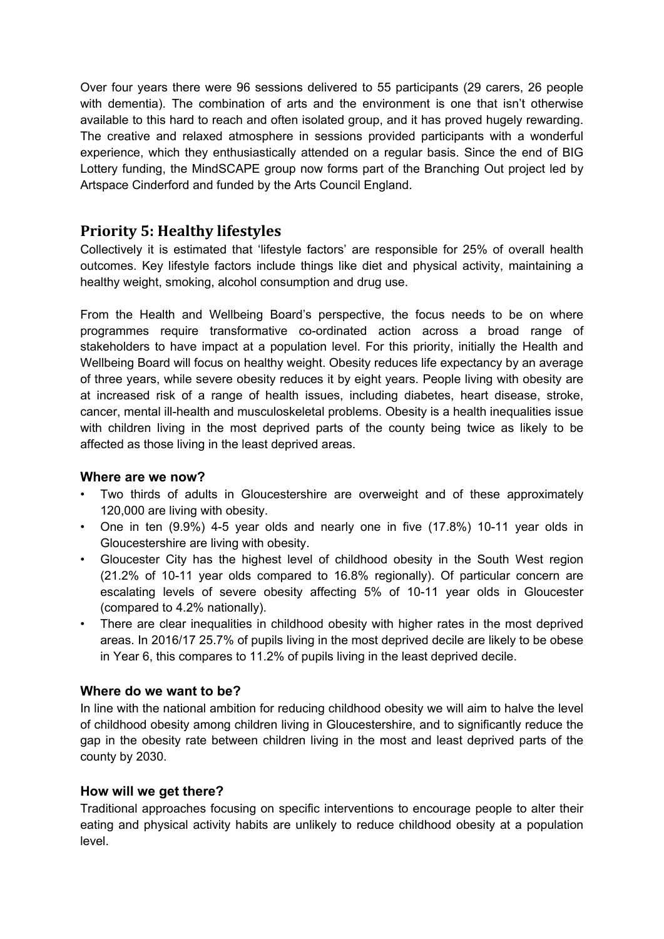Over four years there were 96 sessions delivered to 55 participants (29 carers, 26 people with dementia). The combination of arts and the environment is one that isn't otherwise available to this hard to reach and often isolated group, and it has proved hugely rewarding. The creative and relaxed atmosphere in sessions provided participants with a wonderful experience, which they enthusiastically attended on a regular basis. Since the end of BIG Lottery funding, the MindSCAPE group now forms part of the Branching Out project led by Artspace Cinderford and funded by the Arts Council England.

# **Priority 5: Healthy lifestyles**

Collectively it is estimated that 'lifestyle factors' are responsible for 25% of overall health outcomes. Key lifestyle factors include things like diet and physical activity, maintaining a healthy weight, smoking, alcohol consumption and drug use.

From the Health and Wellbeing Board's perspective, the focus needs to be on where programmes require transformative co-ordinated action across a broad range of stakeholders to have impact at a population level. For this priority, initially the Health and Wellbeing Board will focus on healthy weight. Obesity reduces life expectancy by an average of three years, while severe obesity reduces it by eight years. People living with obesity are at increased risk of a range of health issues, including diabetes, heart disease, stroke, cancer, mental ill-health and musculoskeletal problems. Obesity is a health inequalities issue with children living in the most deprived parts of the county being twice as likely to be affected as those living in the least deprived areas.

## **Where are we now?**

- Two thirds of adults in Gloucestershire are overweight and of these approximately 120,000 are living with obesity.
- One in ten (9.9%) 4-5 year olds and nearly one in five (17.8%) 10-11 year olds in Gloucestershire are living with obesity.
- Gloucester City has the highest level of childhood obesity in the South West region (21.2% of 10-11 year olds compared to 16.8% regionally). Of particular concern are escalating levels of severe obesity affecting 5% of 10-11 year olds in Gloucester (compared to 4.2% nationally).
- There are clear inequalities in childhood obesity with higher rates in the most deprived areas. In 2016/17 25.7% of pupils living in the most deprived decile are likely to be obese in Year 6, this compares to 11.2% of pupils living in the least deprived decile.

## **Where do we want to be?**

In line with the national ambition for reducing childhood obesity we will aim to halve the level of childhood obesity among children living in Gloucestershire, and to significantly reduce the gap in the obesity rate between children living in the most and least deprived parts of the county by 2030.

## **How will we get there?**

Traditional approaches focusing on specific interventions to encourage people to alter their eating and physical activity habits are unlikely to reduce childhood obesity at a population level.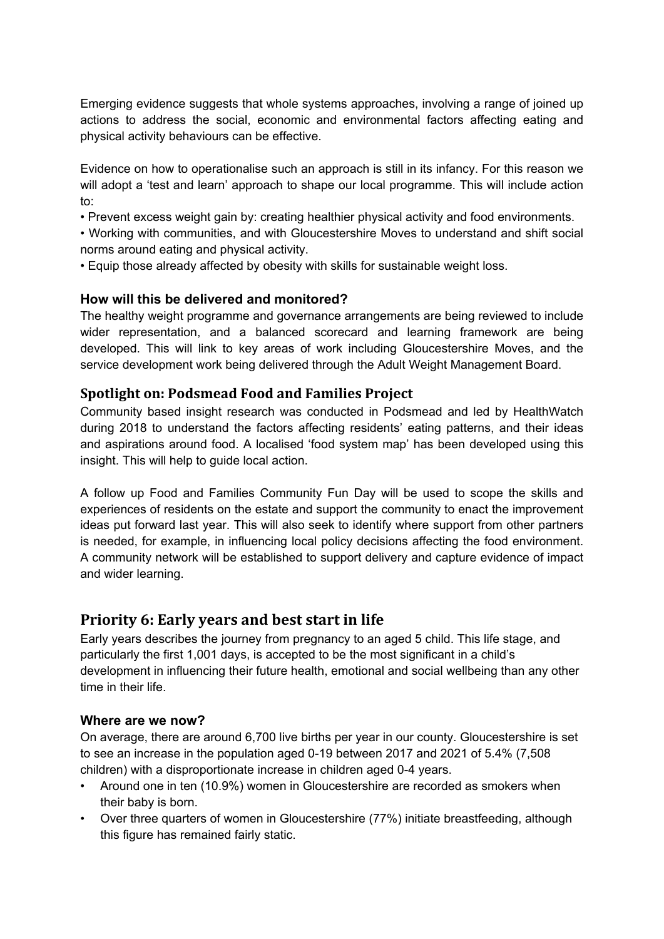Emerging evidence suggests that whole systems approaches, involving a range of joined up actions to address the social, economic and environmental factors affecting eating and physical activity behaviours can be effective.

Evidence on how to operationalise such an approach is still in its infancy. For this reason we will adopt a 'test and learn' approach to shape our local programme. This will include action to:

- Prevent excess weight gain by: creating healthier physical activity and food environments.
- Working with communities, and with Gloucestershire Moves to understand and shift social norms around eating and physical activity.
- Equip those already affected by obesity with skills for sustainable weight loss.

#### **How will this be delivered and monitored?**

The healthy weight programme and governance arrangements are being reviewed to include wider representation, and a balanced scorecard and learning framework are being developed. This will link to key areas of work including Gloucestershire Moves, and the service development work being delivered through the Adult Weight Management Board.

## **Spotlight on: Podsmead Food and Families Project**

Community based insight research was conducted in Podsmead and led by HealthWatch during 2018 to understand the factors affecting residents' eating patterns, and their ideas and aspirations around food. A localised 'food system map' has been developed using this insight. This will help to guide local action.

A follow up Food and Families Community Fun Day will be used to scope the skills and experiences of residents on the estate and support the community to enact the improvement ideas put forward last year. This will also seek to identify where support from other partners is needed, for example, in influencing local policy decisions affecting the food environment. A community network will be established to support delivery and capture evidence of impact and wider learning.

# **Priority 6: Early years and best start in life**

Early years describes the journey from pregnancy to an aged 5 child. This life stage, and particularly the first 1,001 days, is accepted to be the most significant in a child's development in influencing their future health, emotional and social wellbeing than any other time in their life.

#### **Where are we now?**

On average, there are around 6,700 live births per year in our county. Gloucestershire is set to see an increase in the population aged 0-19 between 2017 and 2021 of 5.4% (7,508 children) with a disproportionate increase in children aged 0-4 years.

- Around one in ten (10.9%) women in Gloucestershire are recorded as smokers when their baby is born.
- Over three quarters of women in Gloucestershire (77%) initiate breastfeeding, although this figure has remained fairly static.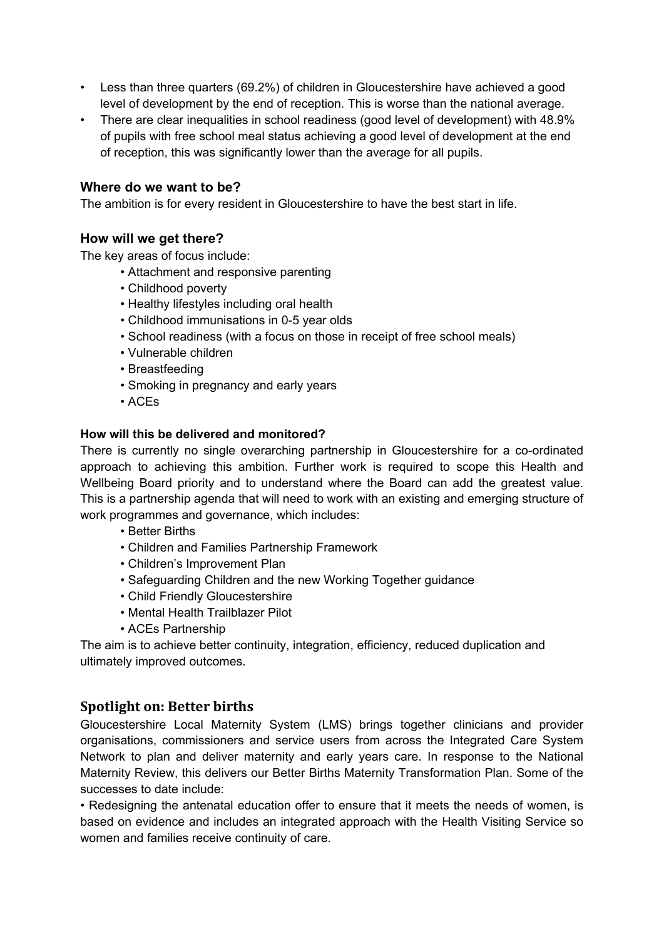- Less than three quarters (69.2%) of children in Gloucestershire have achieved a good level of development by the end of reception. This is worse than the national average.
- There are clear inequalities in school readiness (good level of development) with 48.9% of pupils with free school meal status achieving a good level of development at the end of reception, this was significantly lower than the average for all pupils.

#### **Where do we want to be?**

The ambition is for every resident in Gloucestershire to have the best start in life.

#### **How will we get there?**

The key areas of focus include:

- Attachment and responsive parenting
- Childhood poverty
- Healthy lifestyles including oral health
- Childhood immunisations in 0-5 year olds
- School readiness (with a focus on those in receipt of free school meals)
- Vulnerable children
- Breastfeeding
- Smoking in pregnancy and early years
- ACEs

#### **How will this be delivered and monitored?**

There is currently no single overarching partnership in Gloucestershire for a co-ordinated approach to achieving this ambition. Further work is required to scope this Health and Wellbeing Board priority and to understand where the Board can add the greatest value. This is a partnership agenda that will need to work with an existing and emerging structure of work programmes and governance, which includes:

- Better Births
- Children and Families Partnership Framework
- Children's Improvement Plan
- Safeguarding Children and the new Working Together guidance
- Child Friendly Gloucestershire
- Mental Health Trailblazer Pilot
- ACEs Partnership

The aim is to achieve better continuity, integration, efficiency, reduced duplication and ultimately improved outcomes.

## **Spotlight on: Better births**

Gloucestershire Local Maternity System (LMS) brings together clinicians and provider organisations, commissioners and service users from across the Integrated Care System Network to plan and deliver maternity and early years care. In response to the National Maternity Review, this delivers our Better Births Maternity Transformation Plan. Some of the successes to date include:

• Redesigning the antenatal education offer to ensure that it meets the needs of women, is based on evidence and includes an integrated approach with the Health Visiting Service so women and families receive continuity of care.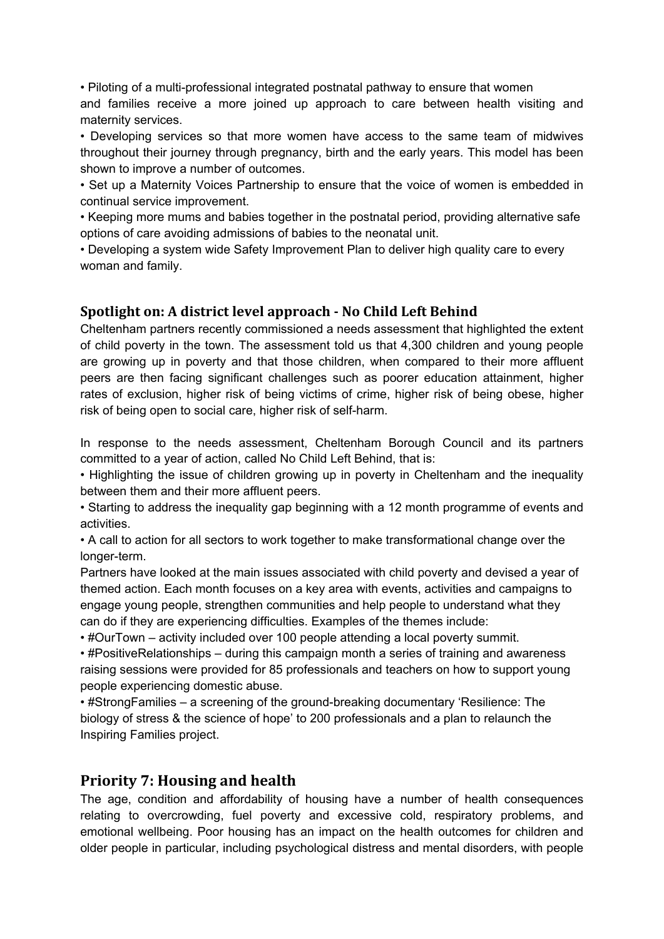• Piloting of a multi-professional integrated postnatal pathway to ensure that women and families receive a more joined up approach to care between health visiting and maternity services.

• Developing services so that more women have access to the same team of midwives throughout their journey through pregnancy, birth and the early years. This model has been shown to improve a number of outcomes.

• Set up a Maternity Voices Partnership to ensure that the voice of women is embedded in continual service improvement.

• Keeping more mums and babies together in the postnatal period, providing alternative safe options of care avoiding admissions of babies to the neonatal unit.

• Developing a system wide Safety Improvement Plan to deliver high quality care to every woman and family.

# **Spotlight on: A district level approach - No Child Left Behind**

Cheltenham partners recently commissioned a needs assessment that highlighted the extent of child poverty in the town. The assessment told us that 4,300 children and young people are growing up in poverty and that those children, when compared to their more affluent peers are then facing significant challenges such as poorer education attainment, higher rates of exclusion, higher risk of being victims of crime, higher risk of being obese, higher risk of being open to social care, higher risk of self-harm.

In response to the needs assessment, Cheltenham Borough Council and its partners committed to a year of action, called No Child Left Behind, that is:

• Highlighting the issue of children growing up in poverty in Cheltenham and the inequality between them and their more affluent peers.

• Starting to address the inequality gap beginning with a 12 month programme of events and activities.

• A call to action for all sectors to work together to make transformational change over the longer-term.

Partners have looked at the main issues associated with child poverty and devised a year of themed action. Each month focuses on a key area with events, activities and campaigns to engage young people, strengthen communities and help people to understand what they can do if they are experiencing difficulties. Examples of the themes include:

• #OurTown – activity included over 100 people attending a local poverty summit.

• #PositiveRelationships – during this campaign month a series of training and awareness raising sessions were provided for 85 professionals and teachers on how to support young people experiencing domestic abuse.

• #StrongFamilies – a screening of the ground-breaking documentary 'Resilience: The biology of stress & the science of hope' to 200 professionals and a plan to relaunch the Inspiring Families project.

# **Priority 7: Housing and health**

The age, condition and affordability of housing have a number of health consequences relating to overcrowding, fuel poverty and excessive cold, respiratory problems, and emotional wellbeing. Poor housing has an impact on the health outcomes for children and older people in particular, including psychological distress and mental disorders, with people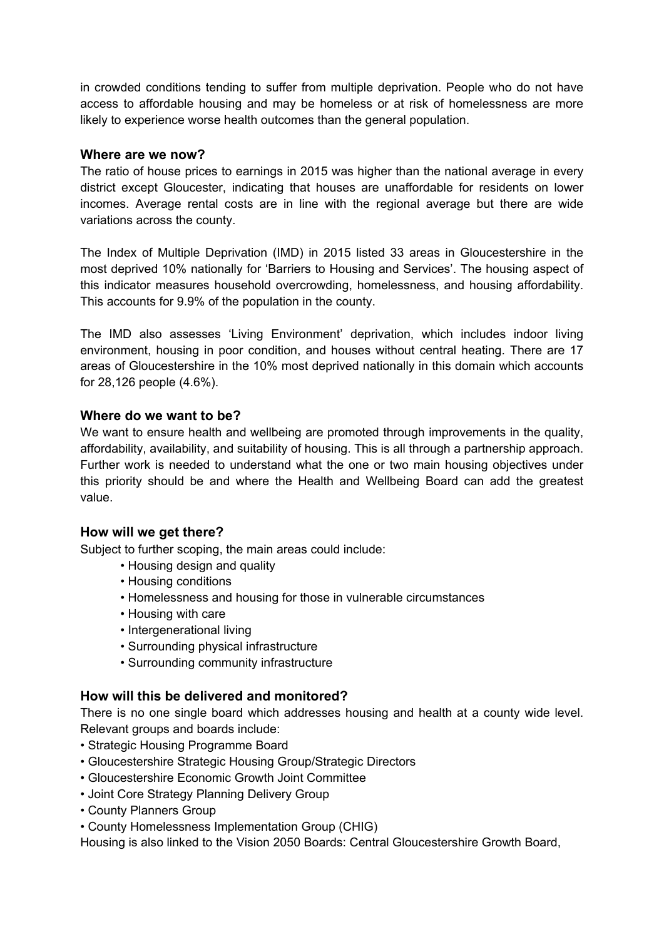in crowded conditions tending to suffer from multiple deprivation. People who do not have access to affordable housing and may be homeless or at risk of homelessness are more likely to experience worse health outcomes than the general population.

#### **Where are we now?**

The ratio of house prices to earnings in 2015 was higher than the national average in every district except Gloucester, indicating that houses are unaffordable for residents on lower incomes. Average rental costs are in line with the regional average but there are wide variations across the county.

The Index of Multiple Deprivation (IMD) in 2015 listed 33 areas in Gloucestershire in the most deprived 10% nationally for 'Barriers to Housing and Services'. The housing aspect of this indicator measures household overcrowding, homelessness, and housing affordability. This accounts for 9.9% of the population in the county.

The IMD also assesses 'Living Environment' deprivation, which includes indoor living environment, housing in poor condition, and houses without central heating. There are 17 areas of Gloucestershire in the 10% most deprived nationally in this domain which accounts for 28,126 people (4.6%).

#### **Where do we want to be?**

We want to ensure health and wellbeing are promoted through improvements in the quality, affordability, availability, and suitability of housing. This is all through a partnership approach. Further work is needed to understand what the one or two main housing objectives under this priority should be and where the Health and Wellbeing Board can add the greatest value.

## **How will we get there?**

Subject to further scoping, the main areas could include:

- Housing design and quality
- Housing conditions
- Homelessness and housing for those in vulnerable circumstances
- Housing with care
- Intergenerational living
- Surrounding physical infrastructure
- Surrounding community infrastructure

## **How will this be delivered and monitored?**

There is no one single board which addresses housing and health at a county wide level. Relevant groups and boards include:

- Strategic Housing Programme Board
- Gloucestershire Strategic Housing Group/Strategic Directors
- Gloucestershire Economic Growth Joint Committee
- Joint Core Strategy Planning Delivery Group
- County Planners Group
- County Homelessness Implementation Group (CHIG)

Housing is also linked to the Vision 2050 Boards: Central Gloucestershire Growth Board,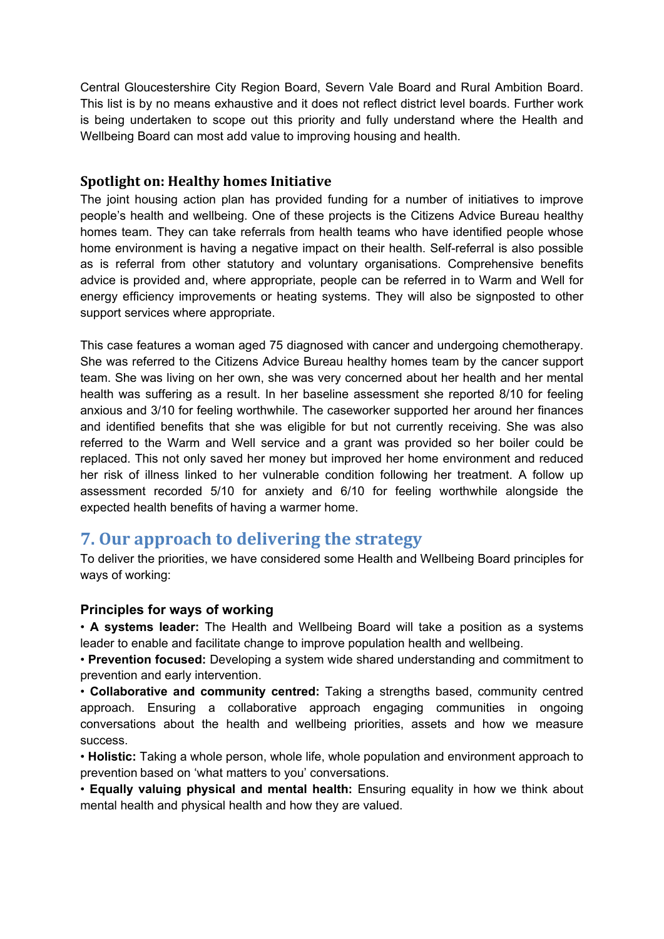Central Gloucestershire City Region Board, Severn Vale Board and Rural Ambition Board. This list is by no means exhaustive and it does not reflect district level boards. Further work is being undertaken to scope out this priority and fully understand where the Health and Wellbeing Board can most add value to improving housing and health.

## **Spotlight on: Healthy homes Initiative**

The joint housing action plan has provided funding for a number of initiatives to improve people's health and wellbeing. One of these projects is the Citizens Advice Bureau healthy homes team. They can take referrals from health teams who have identified people whose home environment is having a negative impact on their health. Self-referral is also possible as is referral from other statutory and voluntary organisations. Comprehensive benefits advice is provided and, where appropriate, people can be referred in to Warm and Well for energy efficiency improvements or heating systems. They will also be signposted to other support services where appropriate.

This case features a woman aged 75 diagnosed with cancer and undergoing chemotherapy. She was referred to the Citizens Advice Bureau healthy homes team by the cancer support team. She was living on her own, she was very concerned about her health and her mental health was suffering as a result. In her baseline assessment she reported 8/10 for feeling anxious and 3/10 for feeling worthwhile. The caseworker supported her around her finances and identified benefits that she was eligible for but not currently receiving. She was also referred to the Warm and Well service and a grant was provided so her boiler could be replaced. This not only saved her money but improved her home environment and reduced her risk of illness linked to her vulnerable condition following her treatment. A follow up assessment recorded 5/10 for anxiety and 6/10 for feeling worthwhile alongside the expected health benefits of having a warmer home.

# **7. Our approach to delivering the strategy**

To deliver the priorities, we have considered some Health and Wellbeing Board principles for ways of working:

## **Principles for ways of working**

• **A systems leader:** The Health and Wellbeing Board will take a position as a systems leader to enable and facilitate change to improve population health and wellbeing.

• **Prevention focused:** Developing a system wide shared understanding and commitment to prevention and early intervention.

• **Collaborative and community centred:** Taking a strengths based, community centred approach. Ensuring a collaborative approach engaging communities in ongoing conversations about the health and wellbeing priorities, assets and how we measure success.

• **Holistic:** Taking a whole person, whole life, whole population and environment approach to prevention based on 'what matters to you' conversations.

• **Equally valuing physical and mental health:** Ensuring equality in how we think about mental health and physical health and how they are valued.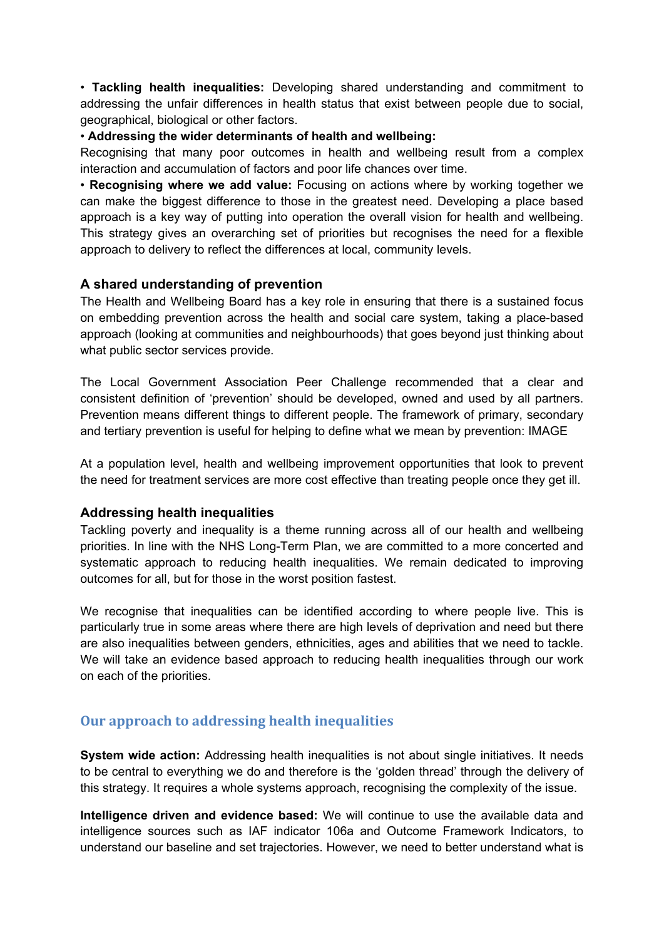• **Tackling health inequalities:** Developing shared understanding and commitment to addressing the unfair differences in health status that exist between people due to social, geographical, biological or other factors.

#### • **Addressing the wider determinants of health and wellbeing:**

Recognising that many poor outcomes in health and wellbeing result from a complex interaction and accumulation of factors and poor life chances over time.

• **Recognising where we add value:** Focusing on actions where by working together we can make the biggest difference to those in the greatest need. Developing a place based approach is a key way of putting into operation the overall vision for health and wellbeing. This strategy gives an overarching set of priorities but recognises the need for a flexible approach to delivery to reflect the differences at local, community levels.

#### **A shared understanding of prevention**

The Health and Wellbeing Board has a key role in ensuring that there is a sustained focus on embedding prevention across the health and social care system, taking a place-based approach (looking at communities and neighbourhoods) that goes beyond just thinking about what public sector services provide.

The Local Government Association Peer Challenge recommended that a clear and consistent definition of 'prevention' should be developed, owned and used by all partners. Prevention means different things to different people. The framework of primary, secondary and tertiary prevention is useful for helping to define what we mean by prevention: IMAGE

At a population level, health and wellbeing improvement opportunities that look to prevent the need for treatment services are more cost effective than treating people once they get ill.

#### **Addressing health inequalities**

Tackling poverty and inequality is a theme running across all of our health and wellbeing priorities. In line with the NHS Long-Term Plan, we are committed to a more concerted and systematic approach to reducing health inequalities. We remain dedicated to improving outcomes for all, but for those in the worst position fastest.

We recognise that inequalities can be identified according to where people live. This is particularly true in some areas where there are high levels of deprivation and need but there are also inequalities between genders, ethnicities, ages and abilities that we need to tackle. We will take an evidence based approach to reducing health inequalities through our work on each of the priorities.

# **Our approach to addressing health inequalities**

**System wide action:** Addressing health inequalities is not about single initiatives. It needs to be central to everything we do and therefore is the 'golden thread' through the delivery of this strategy. It requires a whole systems approach, recognising the complexity of the issue.

**Intelligence driven and evidence based:** We will continue to use the available data and intelligence sources such as IAF indicator 106a and Outcome Framework Indicators, to understand our baseline and set trajectories. However, we need to better understand what is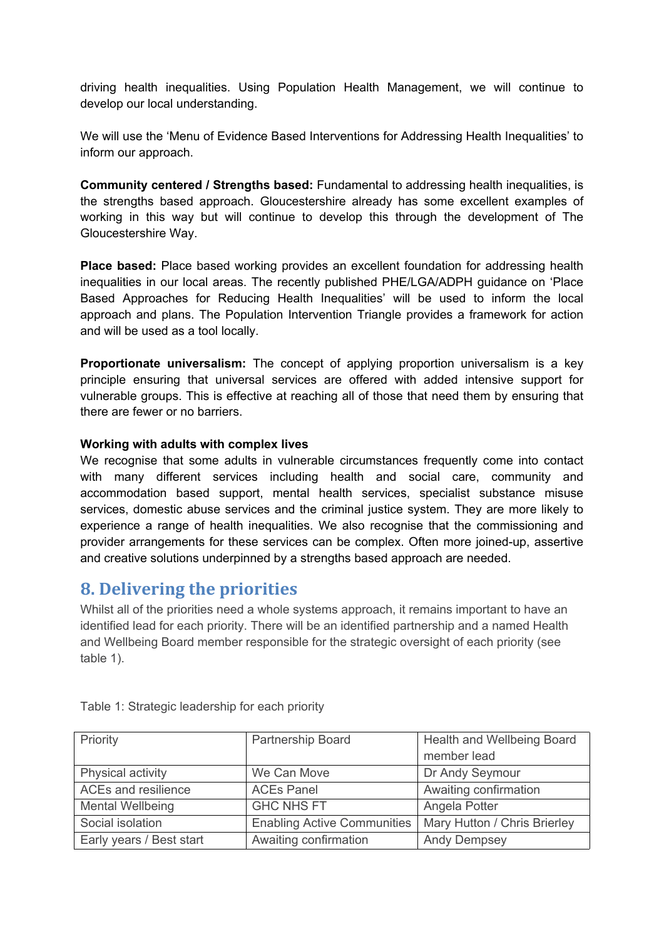driving health inequalities. Using Population Health Management, we will continue to develop our local understanding.

We will use the 'Menu of Evidence Based Interventions for Addressing Health Inequalities' to inform our approach.

**Community centered / Strengths based:** Fundamental to addressing health inequalities, is the strengths based approach. Gloucestershire already has some excellent examples of working in this way but will continue to develop this through the development of The Gloucestershire Way.

**Place based:** Place based working provides an excellent foundation for addressing health inequalities in our local areas. The recently published PHE/LGA/ADPH guidance on 'Place Based Approaches for Reducing Health Inequalities' will be used to inform the local approach and plans. The Population Intervention Triangle provides a framework for action and will be used as a tool locally.

**Proportionate universalism:** The concept of applying proportion universalism is a key principle ensuring that universal services are offered with added intensive support for vulnerable groups. This is effective at reaching all of those that need them by ensuring that there are fewer or no barriers.

#### **Working with adults with complex lives**

We recognise that some adults in vulnerable circumstances frequently come into contact with many different services including health and social care, community and accommodation based support, mental health services, specialist substance misuse services, domestic abuse services and the criminal justice system. They are more likely to experience a range of health inequalities. We also recognise that the commissioning and provider arrangements for these services can be complex. Often more joined-up, assertive and creative solutions underpinned by a strengths based approach are needed.

# **8. Delivering the priorities**

Whilst all of the priorities need a whole systems approach, it remains important to have an identified lead for each priority. There will be an identified partnership and a named Health and Wellbeing Board member responsible for the strategic oversight of each priority (see table 1).

| Priority                 | Partnership Board                  | Health and Wellbeing Board   |  |  |
|--------------------------|------------------------------------|------------------------------|--|--|
|                          |                                    | member lead                  |  |  |
| Physical activity        | We Can Move                        | Dr Andy Seymour              |  |  |
| ACEs and resilience      | <b>ACEs Panel</b>                  | Awaiting confirmation        |  |  |
| <b>Mental Wellbeing</b>  | <b>GHC NHS FT</b>                  | Angela Potter                |  |  |
| Social isolation         | <b>Enabling Active Communities</b> | Mary Hutton / Chris Brierley |  |  |
| Early years / Best start | Awaiting confirmation              | <b>Andy Dempsey</b>          |  |  |

Table 1: Strategic leadership for each priority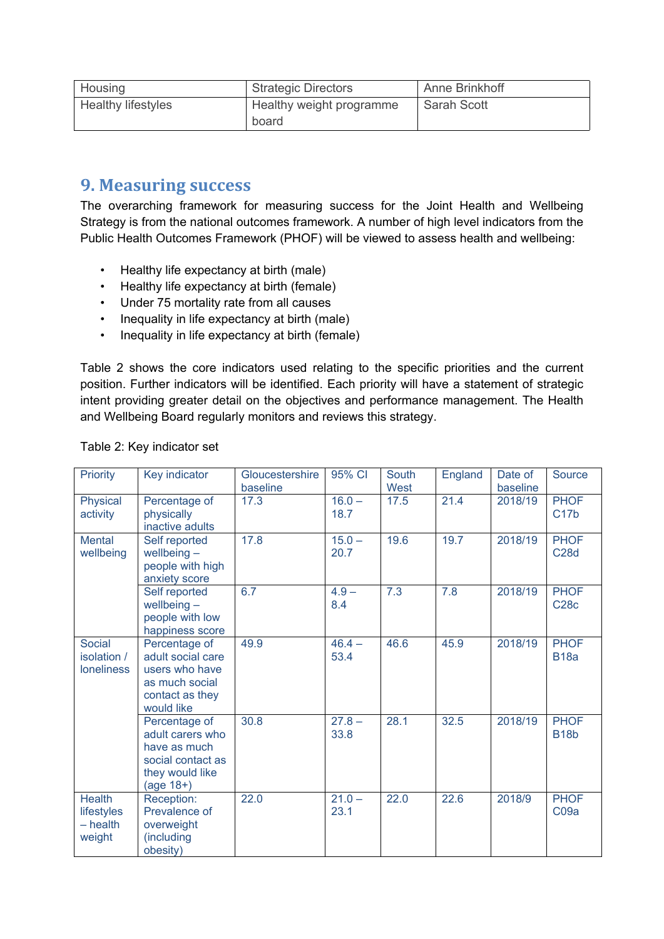| Housing                   | <b>Strategic Directors</b> | Anne Brinkhoff     |
|---------------------------|----------------------------|--------------------|
| <b>Healthy lifestyles</b> | Healthy weight programme   | <b>Sarah Scott</b> |
|                           | board                      |                    |

# **9. Measuring success**

The overarching framework for measuring success for the Joint Health and Wellbeing Strategy is from the national outcomes framework. A number of high level indicators from the Public Health Outcomes Framework (PHOF) will be viewed to assess health and wellbeing:

- Healthy life expectancy at birth (male)
- Healthy life expectancy at birth (female)
- Under 75 mortality rate from all causes
- Inequality in life expectancy at birth (male)
- Inequality in life expectancy at birth (female)

Table 2 shows the core indicators used relating to the specific priorities and the current position. Further indicators will be identified. Each priority will have a statement of strategic intent providing greater detail on the objectives and performance management. The Health and Wellbeing Board regularly monitors and reviews this strategy.

| Priority                                            | Key indicator                                                                                            | Gloucestershire<br>baseline | 95% CI           | South<br>West | England | Date of<br>baseline | <b>Source</b>                   |
|-----------------------------------------------------|----------------------------------------------------------------------------------------------------------|-----------------------------|------------------|---------------|---------|---------------------|---------------------------------|
| Physical<br>activity                                | Percentage of<br>physically<br>inactive adults                                                           | 17.3                        | $16.0 -$<br>18.7 | 17.5          | 21.4    | 2018/19             | <b>PHOF</b><br>C17 <sub>b</sub> |
| <b>Mental</b><br>wellbeing                          | Self reported<br>wellbeing $-$<br>people with high<br>anxiety score                                      | 17.8                        | $15.0 -$<br>20.7 | 19.6          | 19.7    | 2018/19             | <b>PHOF</b><br><b>C28d</b>      |
|                                                     | Self reported<br>wellbeing $-$<br>people with low<br>happiness score                                     | 6.7                         | $4.9 -$<br>8.4   | 7.3           | 7.8     | 2018/19             | <b>PHOF</b><br><b>C28c</b>      |
| <b>Social</b><br>isolation /<br><b>loneliness</b>   | Percentage of<br>adult social care<br>users who have<br>as much social<br>contact as they<br>would like  | 49.9                        | $46.4 -$<br>53.4 | 46.6          | 45.9    | 2018/19             | <b>PHOF</b><br><b>B18a</b>      |
|                                                     | Percentage of<br>adult carers who<br>have as much<br>social contact as<br>they would like<br>$(age 18+)$ | 30.8                        | $27.8 -$<br>33.8 | 28.1          | 32.5    | 2018/19             | <b>PHOF</b><br><b>B18b</b>      |
| <b>Health</b><br>lifestyles<br>$-$ health<br>weight | Reception:<br>Prevalence of<br>overweight<br>(including<br>obesity)                                      | 22.0                        | $21.0 -$<br>23.1 | 22.0          | 22.6    | 2018/9              | <b>PHOF</b><br>CO9a             |

#### Table 2: Key indicator set